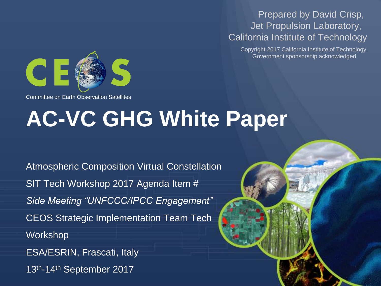#### Prepared by David Crisp, Jet Propulsion Laboratory, California Institute of Technology

Copyright 2017 California Institute of Technology. Government sponsorship acknowledged



Committee on Earth Observation Satellites

# **AC-VC GHG White Paper**

Atmospheric Composition Virtual Constellation SIT Tech Workshop 2017 Agenda Item # *Side Meeting "UNFCCC/IPCC Engagement"* CEOS Strategic Implementation Team Tech Workshop ESA/ESRIN, Frascati, Italy 13th-14th September 2017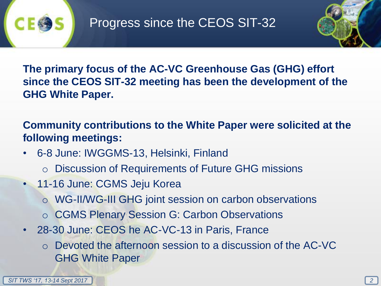

**The primary focus of the AC-VC Greenhouse Gas (GHG) effort since the CEOS SIT-32 meeting has been the development of the GHG White Paper.** 

**Community contributions to the White Paper were solicited at the following meetings:**

- 6-8 June: IWGGMS-13, Helsinki, Finland
	- o Discussion of Requirements of Future GHG missions
- 11-16 June: CGMS Jeju Korea
	- o WG-II/WG-III GHG joint session on carbon observations
	- o CGMS Plenary Session G: Carbon Observations
- 28-30 June: CEOS he AC-VC-13 in Paris, France
	- o Devoted the afternoon session to a discussion of the AC-VC GHG White Paper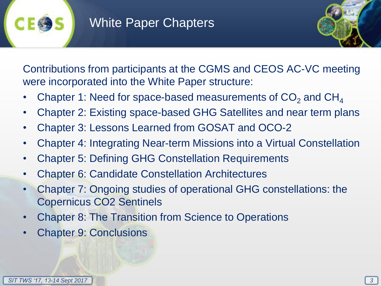### White Paper Chapters



Contributions from participants at the CGMS and CEOS AC-VC meeting were incorporated into the White Paper structure:

- Chapter 1: Need for space-based measurements of  $CO<sub>2</sub>$  and  $CH<sub>4</sub>$
- Chapter 2: Existing space-based GHG Satellites and near term plans
- Chapter 3: Lessons Learned from GOSAT and OCO-2
- Chapter 4: Integrating Near-term Missions into a Virtual Constellation
- Chapter 5: Defining GHG Constellation Requirements
- Chapter 6: Candidate Constellation Architectures
- Chapter 7: Ongoing studies of operational GHG constellations: the Copernicus CO2 Sentinels
- Chapter 8: The Transition from Science to Operations
- Chapter 9: Conclusions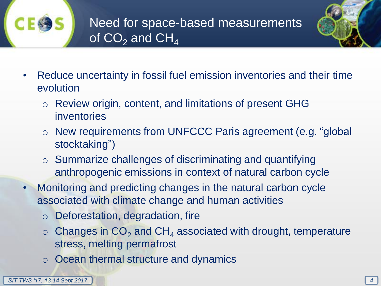



- Reduce uncertainty in fossil fuel emission inventories and their time evolution
	- o Review origin, content, and limitations of present GHG inventories
	- o New requirements from UNFCCC Paris agreement (e.g. "global stocktaking")
	- o Summarize challenges of discriminating and quantifying anthropogenic emissions in context of natural carbon cycle
- Monitoring and predicting changes in the natural carbon cycle associated with climate change and human activities
	- o Deforestation, degradation, fire
	- $\circ$  Changes in CO<sub>2</sub> and CH<sub>4</sub> associated with drought, temperature stress, melting permafrost
	- o Ocean thermal structure and dynamics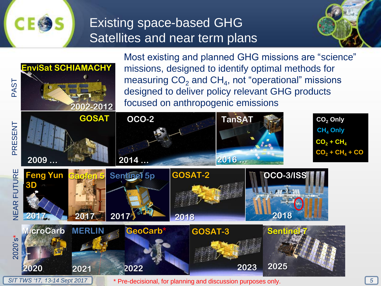

## Existing space-based GHG Satellites and near term plans





*SIT TWS '17, 13-14 Sept 2017 5* \* Pre-decisional, for planning and discussion purposes only.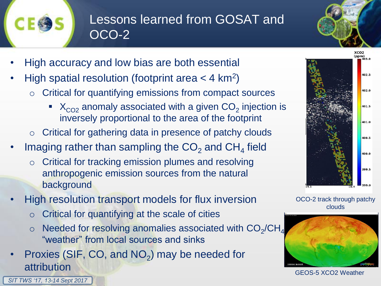![](_page_5_Picture_0.jpeg)

*SIT TWS '17, 13-14 Sept 2017*

# Lessons learned from GOSAT and OCO-2

- High accuracy and low bias are both essential
- High spatial resolution (footprint area  $<$  4 km<sup>2</sup>)
	- o Critical for quantifying emissions from compact sources
		- $\blacktriangleright$   $X_{CO2}$  anomaly associated with a given CO<sub>2</sub> injection is inversely proportional to the area of the footprint
	- o Critical for gathering data in presence of patchy clouds
- Imaging rather than sampling the  $CO_2$  and  $CH_4$  field
	- o Critical for tracking emission plumes and resolving anthropogenic emission sources from the natural background
- High resolution transport models for flux inversion
	- o Critical for quantifying at the scale of cities
	- $\circ$  Needed for resolving anomalies associated with  $CO_2/CH_4$ "weather" from local sources and sinks
- Proxies (SIF, CO, and  $NO<sub>2</sub>$ ) may be needed for attribution

![](_page_5_Figure_14.jpeg)

OCO-2 track through patchy clouds

![](_page_5_Figure_16.jpeg)

GEOS-5 XCO2 Weather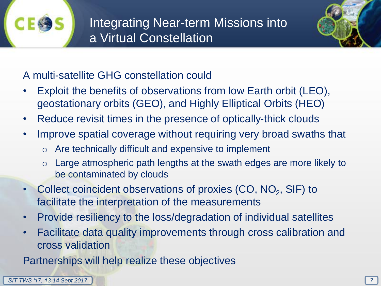![](_page_6_Picture_0.jpeg)

![](_page_6_Picture_2.jpeg)

#### A multi-satellite GHG constellation could

- Exploit the benefits of observations from low Earth orbit (LEO), geostationary orbits (GEO), and Highly Elliptical Orbits (HEO)
- Reduce revisit times in the presence of optically-thick clouds
- Improve spatial coverage without requiring very broad swaths that
	- o Are technically difficult and expensive to implement
	- o Large atmospheric path lengths at the swath edges are more likely to be contaminated by clouds
- Collect coincident observations of proxies  $(CO, NO<sub>2</sub>, SIF)$  to facilitate the interpretation of the measurements
- Provide resiliency to the loss/degradation of individual satellites
- Facilitate data quality improvements through cross calibration and cross validation

Partnerships will help realize these objectives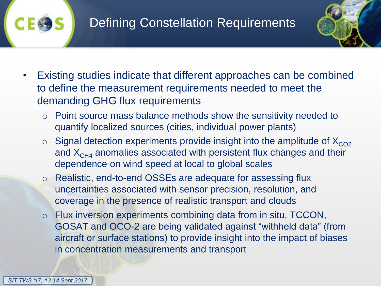![](_page_7_Picture_0.jpeg)

![](_page_7_Picture_2.jpeg)

- Existing studies indicate that different approaches can be combined to define the measurement requirements needed to meet the demanding GHG flux requirements
	- o Point source mass balance methods show the sensitivity needed to quantify localized sources (cities, individual power plants)
	- $\circ$  Signal detection experiments provide insight into the amplitude of  $X_{CO2}$ and  $X<sub>CH4</sub>$  anomalies associated with persistent flux changes and their dependence on wind speed at local to global scales
	- o Realistic, end-to-end OSSEs are adequate for assessing flux uncertainties associated with sensor precision, resolution, and coverage in the presence of realistic transport and clouds
	- o Flux inversion experiments combining data from in situ, TCCON, GOSAT and OCO-2 are being validated against "withheld data" (from aircraft or surface stations) to provide insight into the impact of biases in concentration measurements and transport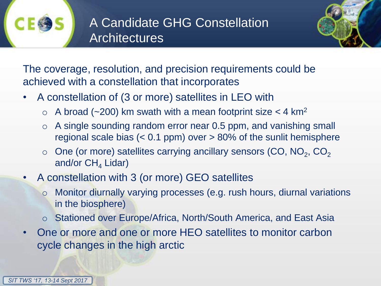![](_page_8_Picture_0.jpeg)

![](_page_8_Picture_2.jpeg)

The coverage, resolution, and precision requirements could be achieved with a constellation that incorporates

- A constellation of (3 or more) satellites in LEO with
	- $\circ$  A broad (~200) km swath with a mean footprint size < 4 km<sup>2</sup>
	- o A single sounding random error near 0.5 ppm, and vanishing small regional scale bias  $( $0.1$  ppm) over  $>80\%$  of the sunlit hemisphere$
	- $\circ$  One (or more) satellites carrying ancillary sensors (CO, NO<sub>2</sub>, CO<sub>2</sub> and/or  $CH<sub>4</sub>$  Lidar)
- A constellation with 3 (or more) GEO satellites
	- o Monitor diurnally varying processes (e.g. rush hours, diurnal variations in the biosphere)
	- o Stationed over Europe/Africa, North/South America, and East Asia
- One or more and one or more HEO satellites to monitor carbon cycle changes in the high arctic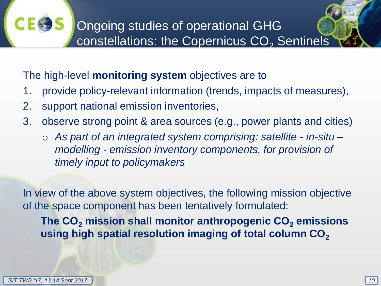The high-level **monitoring system** objectives are to

- 1. provide policy-relevant information (trends, impacts of measures),
- 2. support national emission inventories,
- 3. observe strong point & area sources (e.g., power plants and cities)
	- o *As part of an integrated system comprising: satellite - in-situ – modelling - emission inventory components, for provision of timely input to policymakers*

In view of the above system objectives, the following mission objective of the space component has been tentatively formulated:

**The CO<sup>2</sup> mission shall monitor anthropogenic CO<sup>2</sup> emissions using high spatial resolution imaging of total column CO<sup>2</sup>**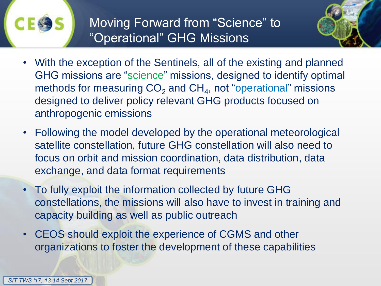![](_page_10_Picture_0.jpeg)

Moving Forward from "Science" to "Operational" GHG Missions

![](_page_10_Picture_2.jpeg)

- With the exception of the Sentinels, all of the existing and planned GHG missions are "science" missions, designed to identify optimal methods for measuring  $CO<sub>2</sub>$  and CH<sub>4</sub>, not "operational" missions designed to deliver policy relevant GHG products focused on anthropogenic emissions
- Following the model developed by the operational meteorological satellite constellation, future GHG constellation will also need to focus on orbit and mission coordination, data distribution, data exchange, and data format requirements
- To fully exploit the information collected by future GHG constellations, the missions will also have to invest in training and capacity building as well as public outreach
- CEOS should exploit the experience of CGMS and other organizations to foster the development of these capabilities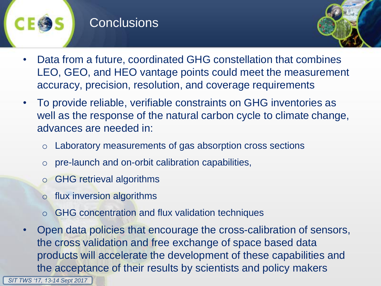#### **Conclusions**

![](_page_11_Picture_1.jpeg)

- Data from a future, coordinated GHG constellation that combines LEO, GEO, and HEO vantage points could meet the measurement accuracy, precision, resolution, and coverage requirements
- To provide reliable, verifiable constraints on GHG inventories as well as the response of the natural carbon cycle to climate change, advances are needed in:
	- o Laboratory measurements of gas absorption cross sections
	- o pre-launch and on-orbit calibration capabilities,
	- GHG retrieval algorithms
	- o flux inversion algorithms
	- GHG concentration and flux validation techniques
- Open data policies that encourage the cross-calibration of sensors, the cross validation and free exchange of space based data products will accelerate the development of these capabilities and the acceptance of their results by scientists and policy makers

*SIT TWS '17, 13-14 Sept 2017*